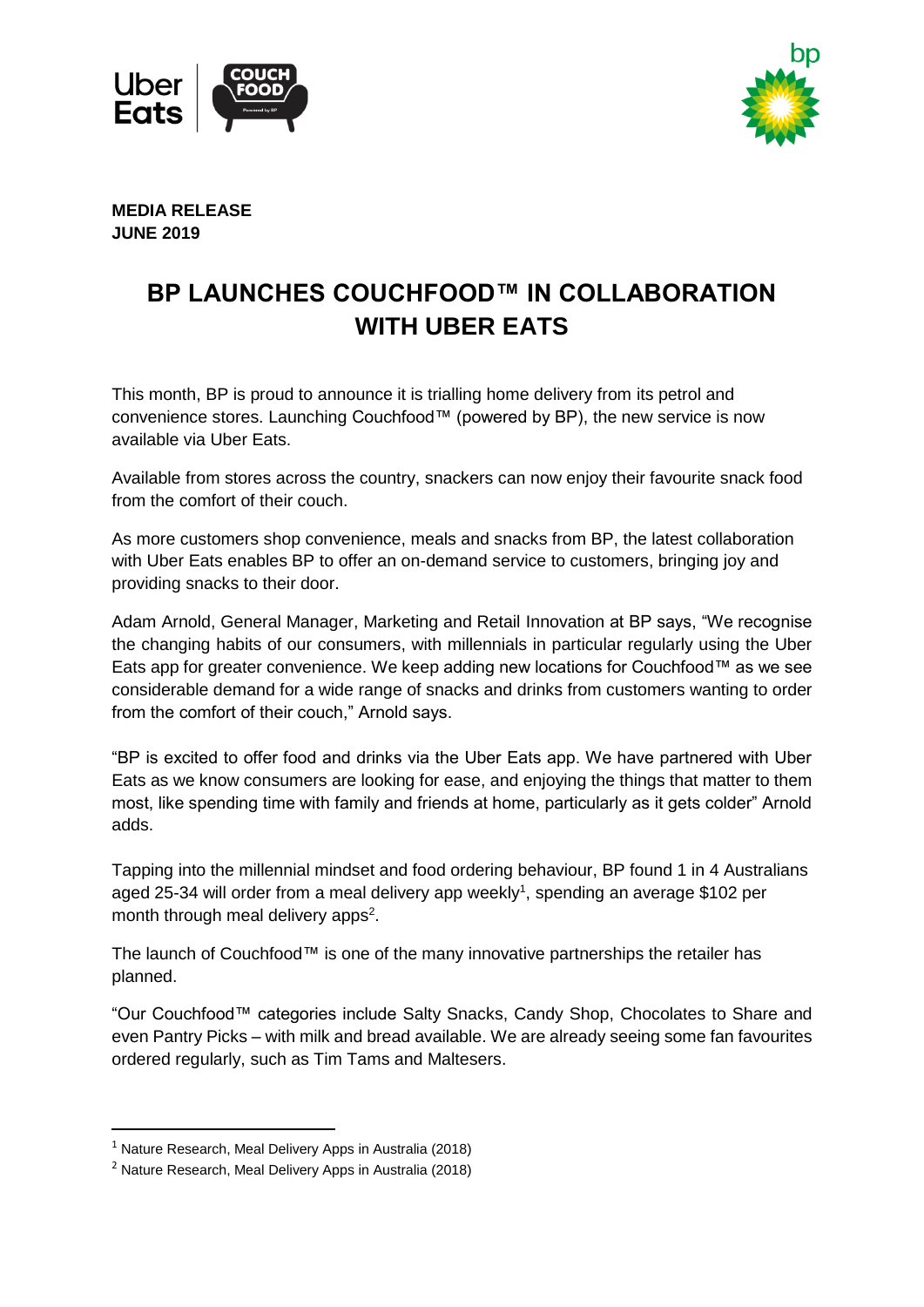



**MEDIA RELEASE JUNE 2019** 

## **BP LAUNCHES COUCHFOOD™ IN COLLABORATION WITH UBER EATS**

This month, BP is proud to announce it is trialling home delivery from its petrol and convenience stores. Launching Couchfood™ (powered by BP), the new service is now available via Uber Eats.

Available from stores across the country, snackers can now enjoy their favourite snack food from the comfort of their couch.

As more customers shop convenience, meals and snacks from BP, the latest collaboration with Uber Eats enables BP to offer an on-demand service to customers, bringing joy and providing snacks to their door.

Adam Arnold, General Manager, Marketing and Retail Innovation at BP says, "We recognise the changing habits of our consumers, with millennials in particular regularly using the Uber Eats app for greater convenience. We keep adding new locations for Couchfood™ as we see considerable demand for a wide range of snacks and drinks from customers wanting to order from the comfort of their couch," Arnold says.

"BP is excited to offer food and drinks via the Uber Eats app. We have partnered with Uber Eats as we know consumers are looking for ease, and enjoying the things that matter to them most, like spending time with family and friends at home, particularly as it gets colder" Arnold adds.

Tapping into the millennial mindset and food ordering behaviour, BP found 1 in 4 Australians aged 25-34 will order from a meal delivery app weekly<sup>1</sup>, spending an average \$102 per month through meal delivery apps<sup>2</sup>.

The launch of Couchfood™ is one of the many innovative partnerships the retailer has planned.

"Our Couchfood™ categories include Salty Snacks, Candy Shop, Chocolates to Share and even Pantry Picks – with milk and bread available. We are already seeing some fan favourites ordered regularly, such as Tim Tams and Maltesers.

<sup>&</sup>lt;sup>1</sup> Nature Research, Meal Delivery Apps in Australia (2018)

<sup>2</sup> Nature Research, Meal Delivery Apps in Australia (2018)